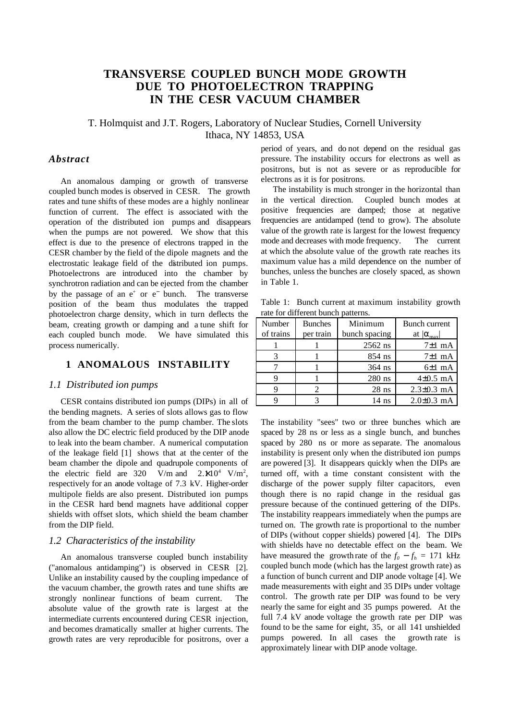# **TRANSVERSE COUPLED BUNCH MODE GROWTH DUE TO PHOTOELECTRON TRAPPING IN THE CESR VACUUM CHAMBER**

# T. Holmquist and J.T. Rogers, Laboratory of Nuclear Studies, Cornell University Ithaca, NY 14853, USA

## *Abstract*

An anomalous damping or growth of transverse coupled bunch modes is observed in CESR. The growth rates and tune shifts of these modes are a highly nonlinear function of current. The effect is associated with the operation of the distributed ion pumps and disappears when the pumps are not powered. We show that this effect is due to the presence of electrons trapped in the CESR chamber by the field of the dipole magnets and the electrostatic leakage field of the distributed ion pumps. Photoelectrons are introduced into the chamber by synchrotron radiation and can be ejected from the chamber by the passage of an  $e^+$  or  $e^-$  bunch. The transverse position of the beam thus modulates the trapped photoelectron charge density, which in turn deflects the beam, creating growth or damping and a tune shift for each coupled bunch mode. We have simulated this process numerically.

### **1 ANOMALOUS INSTABILITY**

#### *1.1 Distributed ion pumps*

CESR contains distributed ion pumps (DIPs) in all of the bending magnets. A series of slots allows gas to flow from the beam chamber to the pump chamber. The slots also allow the DC electric field produced by the DIP anode to leak into the beam chamber. A numerical computation of the leakage field [1] shows that at the center of the beam chamber the dipole and quadrupole components of the electric field are 320 V/m and  $2.*(10^4 \text{ V/m}^2)$ , respectively for an anode voltage of 7.3 kV. Higher-order multipole fields are also present. Distributed ion pumps in the CESR hard bend magnets have additional copper shields with offset slots, which shield the beam chamber from the DIP field.

#### *1.2 Characteristics of the instability*

An anomalous transverse coupled bunch instability ("anomalous antidamping") is observed in CESR [2]. Unlike an instability caused by the coupling impedance of the vacuum chamber, the growth rates and tune shifts are strongly nonlinear functions of beam current. The absolute value of the growth rate is largest at the intermediate currents encountered during CESR injection, and becomes dramatically smaller at higher currents. The growth rates are very reproducible for positrons, over a period of years, and do not depend on the residual gas pressure. The instability occurs for electrons as well as positrons, but is not as severe or as reproducible for electrons as it is for positrons.

The instability is much stronger in the horizontal than in the vertical direction. Coupled bunch modes at positive frequencies are damped; those at negative frequencies are antidamped (tend to grow). The absolute value of the growth rate is largest for the lowest frequency mode and decreases with mode frequency. The current at which the absolute value of the growth rate reaches its maximum value has a mild dependence on the number of bunches, unless the bunches are closely spaced, as shown in Table 1.

Table 1: Bunch current at maximum instability growth rate for different bunch patterns.

| Number<br>of trains | <b>Bunches</b><br>per train | Minimum<br>bunch spacing | Bunch current<br>at $ \alpha_{\text{max}} $ |
|---------------------|-----------------------------|--------------------------|---------------------------------------------|
|                     |                             | $2562$ ns                | $7±1$ mA                                    |
|                     |                             | 854 ns                   | $7±1$ mA                                    |
|                     |                             | $364$ ns                 | $6±1$ mA                                    |
|                     |                             | $280$ ns                 | $4\pm0.5$ mA                                |
|                     |                             | $28$ ns                  | $2.3 \pm 0.3$ mA                            |
|                     |                             | $14$ ns                  | $2.0 \pm 0.3$ mA                            |

The instability "sees'' two or three bunches which are spaced by 28 ns or less as a single bunch, and bunches spaced by 280 ns or more as separate. The anomalous instability is present only when the distributed ion pumps are powered [3]. It disappears quickly when the DIPs are turned off, with a time constant consistent with the discharge of the power supply filter capacitors, even though there is no rapid change in the residual gas pressure because of the continued gettering of the DIPs. The instability reappears immediately when the pumps are turned on. The growth rate is proportional to the number of DIPs (without copper shields) powered [4]. The DIPs with shields have no detectable effect on the beam. We have measured the growth rate of the  $f_0 - f_h = 171$  kHz coupled bunch mode (which has the largest growth rate) as a function of bunch current and DIP anode voltage [4]. We made measurements with eight and 35 DIPs under voltage control. The growth rate per DIP was found to be very nearly the same for eight and 35 pumps powered. At the full 7.4 kV anode voltage the growth rate per DIP was found to be the same for eight, 35, or all 141 unshielded pumps powered. In all cases the growth rate is approximately linear with DIP anode voltage.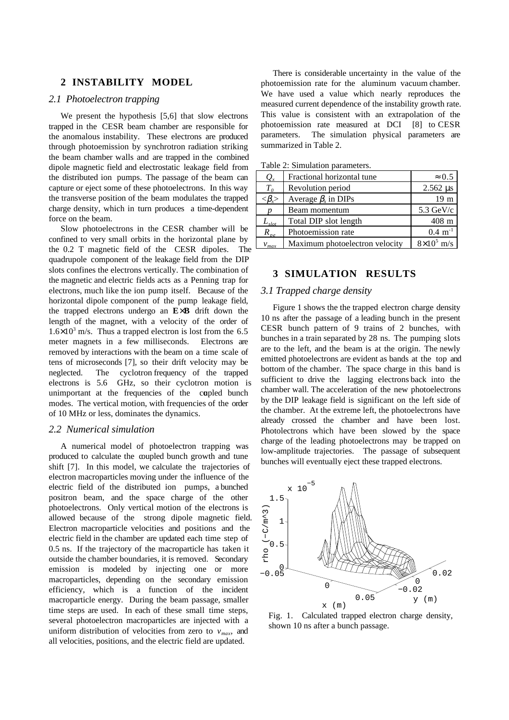### **2 INSTABILITY MODEL**

#### *2.1 Photoelectron trapping*

We present the hypothesis [5,6] that slow electrons trapped in the CESR beam chamber are responsible for the anomalous instability. These electrons are produced through photoemission by synchrotron radiation striking the beam chamber walls and are trapped in the combined dipole magnetic field and electrostatic leakage field from the distributed ion pumps. The passage of the beam can capture or eject some of these photoelectrons. In this way the transverse position of the beam modulates the trapped charge density, which in turn produces a time-dependent force on the beam.

Slow photoelectrons in the CESR chamber will be confined to very small orbits in the horizontal plane by the 0.2 T magnetic field of the CESR dipoles. The quadrupole component of the leakage field from the DIP slots confines the electrons vertically. The combination of the magnetic and electric fields acts as a Penning trap for electrons, much like the ion pump itself. Because of the horizontal dipole component of the pump leakage field, the trapped electrons undergo an **E**×**B** drift down the length of the magnet, with a velocity of the order of  $1.6 \times 10^3$  m/s. Thus a trapped electron is lost from the 6.5 meter magnets in a few milliseconds. Electrons are removed by interactions with the beam on a time scale of tens of microseconds [7], so their drift velocity may be neglected. The cyclotron frequency of the trapped electrons is 5.6 GHz, so their cyclotron motion is unimportant at the frequencies of the coupled bunch modes. The vertical motion, with frequencies of the order of 10 MHz or less, dominates the dynamics.

#### *2.2 Numerical simulation*

A numerical model of photoelectron trapping was produced to calculate the coupled bunch growth and tune shift [7]. In this model, we calculate the trajectories of electron macroparticles moving under the influence of the electric field of the distributed ion pumps, a bunched positron beam, and the space charge of the other photoelectrons. Only vertical motion of the electrons is allowed because of the strong dipole magnetic field. Electron macroparticle velocities and positions and the electric field in the chamber are updated each time step of 0.5 ns. If the trajectory of the macroparticle has taken it outside the chamber boundaries, it is removed. Secondary emission is modeled by injecting one or more macroparticles, depending on the secondary emission efficiency, which is a function of the incident macroparticle energy. During the beam passage, smaller time steps are used. In each of these small time steps, several photoelectron macroparticles are injected with a uniform distribution of velocities from zero to  $v_{max}$ , and all velocities, positions, and the electric field are updated.

There is considerable uncertainty in the value of the photoemission rate for the aluminum vacuum chamber. We have used a value which nearly reproduces the measured current dependence of the instability growth rate. This value is consistent with an extrapolation of the photoemission rate measured at DCI [8] to CESR parameters. The simulation physical parameters are summarized in Table 2.

| $Q_{\star}$               | Fractional horizontal tune     | $\approx 0.5$               |
|---------------------------|--------------------------------|-----------------------------|
| $T_{\alpha}$              | Revolution period              | $2.562 \text{ }\mu\text{s}$ |
| $<\!\!\beta_{\rm r}\!\!>$ | Average $\beta_x$ in DIPs      | 19 <sub>m</sub>             |
|                           | Beam momentum                  | $5.3 \text{ GeV/c}$         |
| $L_{slot}$                | Total DIP slot length          | $408 \text{ m}$             |
| $R_{pe}$                  | Photoemission rate             | $0.4 \; \mathrm{m}^{-1}$    |
|                           | Maximum photoelectron velocity | $8\times10^5$ m/s           |

Table 2: Simulation parameters.

# **3 SIMULATION RESULTS**

#### *3.1 Trapped charge density*

Figure 1 shows the the trapped electron charge density 10 ns after the passage of a leading bunch in the present CESR bunch pattern of 9 trains of 2 bunches, with bunches in a train separated by 28 ns. The pumping slots are to the left, and the beam is at the origin. The newly emitted photoelectrons are evident as bands at the top and bottom of the chamber. The space charge in this band is sufficient to drive the lagging electrons back into the chamber wall. The acceleration of the new photoelectrons by the DIP leakage field is significant on the left side of the chamber. At the extreme left, the photoelectrons have already crossed the chamber and have been lost. Photolectrons which have been slowed by the space charge of the leading photoelectrons may be trapped on low-amplitude trajectories. The passage of subsequent bunches will eventually eject these trapped electrons.



Fig. 1. Calculated trapped electron charge density, shown 10 ns after a bunch passage.